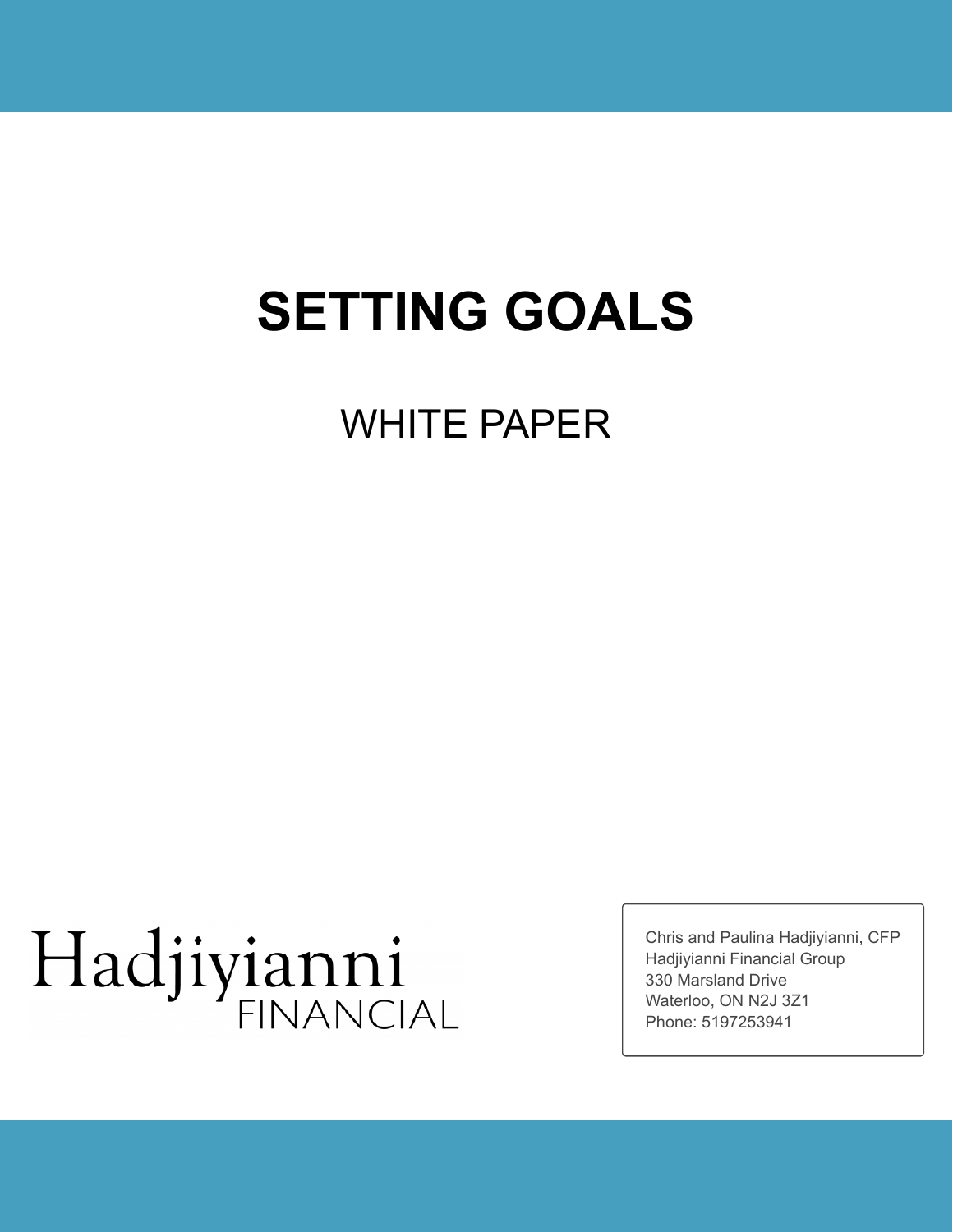## **SETTING GOALS**

### WHITE PAPER

# Hadjiyianni

Chris and Paulina Hadjiyianni, CFP Hadjiyianni Financial Group 330 Marsland Drive Waterloo, ON N2J 3Z1 Phone: 5197253941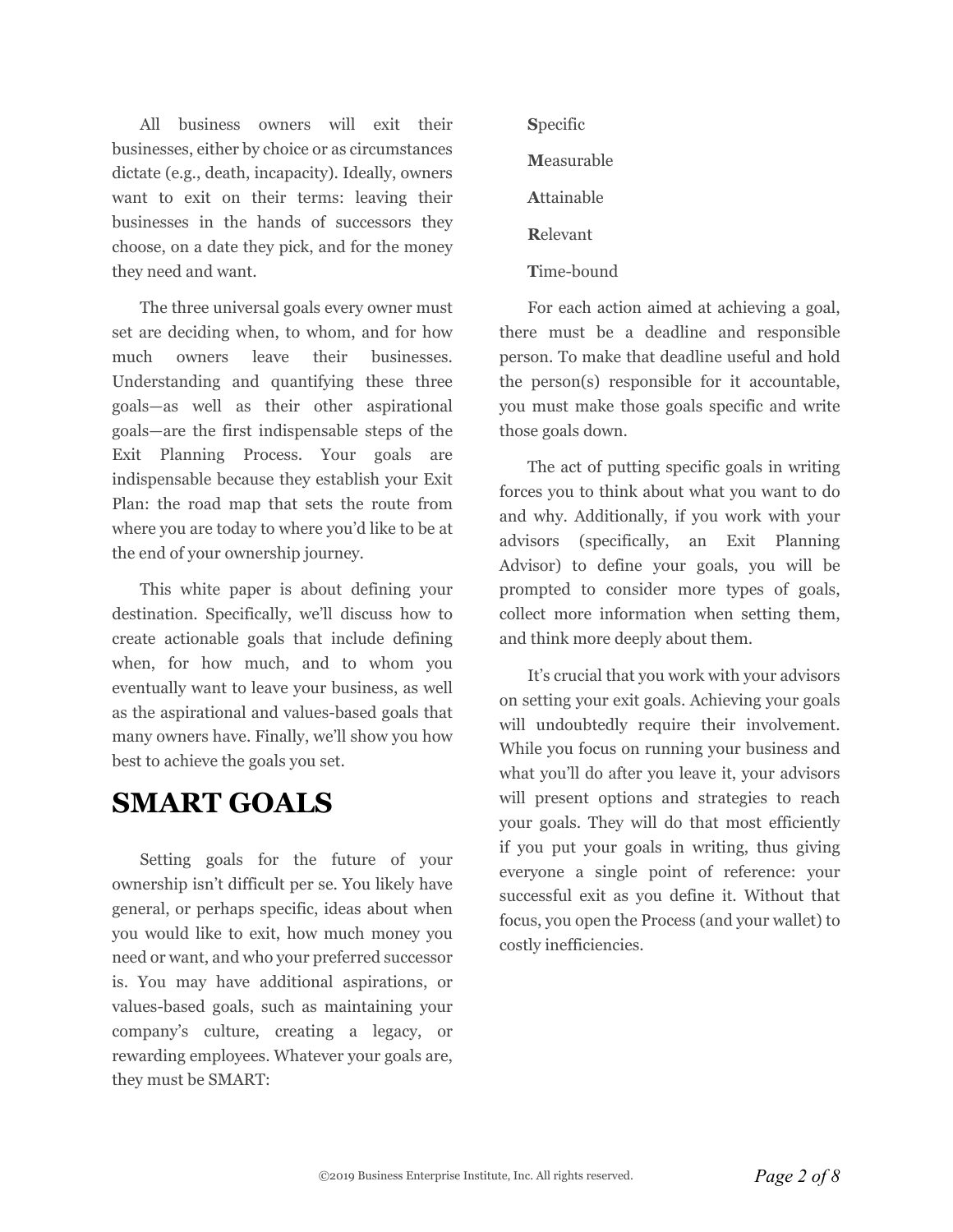All business owners will exit their businesses, either by choice or as circumstances dictate (e.g., death, incapacity). Ideally, owners want to exit on their terms: leaving their businesses in the hands of successors they choose, on a date they pick, and for the money they need and want.

The three universal goals every owner must set are deciding when, to whom, and for how much owners leave their businesses. Understanding and quantifying these three goals—as well as their other aspirational goals—are the first indispensable steps of the Exit Planning Process. Your goals are indispensable because they establish your Exit Plan: the road map that sets the route from where you are today to where you'd like to be at the end of your ownership journey.

This white paper is about defining your destination. Specifically, we'll discuss how to create actionable goals that include defining when, for how much, and to whom you eventually want to leave your business, as well as the aspirational and values-based goals that many owners have. Finally, we'll show you how best to achieve the goals you set.

#### **SMART GOALS**

Setting goals for the future of your ownership isn't difficult per se. You likely have general, or perhaps specific, ideas about when you would like to exit, how much money you need or want, and who your preferred successor is. You may have additional aspirations, or values-based goals, such as maintaining your company's culture, creating a legacy, or rewarding employees. Whatever your goals are, they must be SMART:

**S**pecific **M**easurable **A**ttainable **R**elevant **T**ime-bound

For each action aimed at achieving a goal, there must be a deadline and responsible person. To make that deadline useful and hold the person(s) responsible for it accountable, you must make those goals specific and write those goals down.

The act of putting specific goals in writing forces you to think about what you want to do and why. Additionally, if you work with your advisors (specifically, an Exit Planning Advisor) to define your goals, you will be prompted to consider more types of goals, collect more information when setting them, and think more deeply about them.

It's crucial that you work with your advisors on setting your exit goals. Achieving your goals will undoubtedly require their involvement. While you focus on running your business and what you'll do after you leave it, your advisors will present options and strategies to reach your goals. They will do that most efficiently if you put your goals in writing, thus giving everyone a single point of reference: your successful exit as you define it. Without that focus, you open the Process (and your wallet) to costly inefficiencies.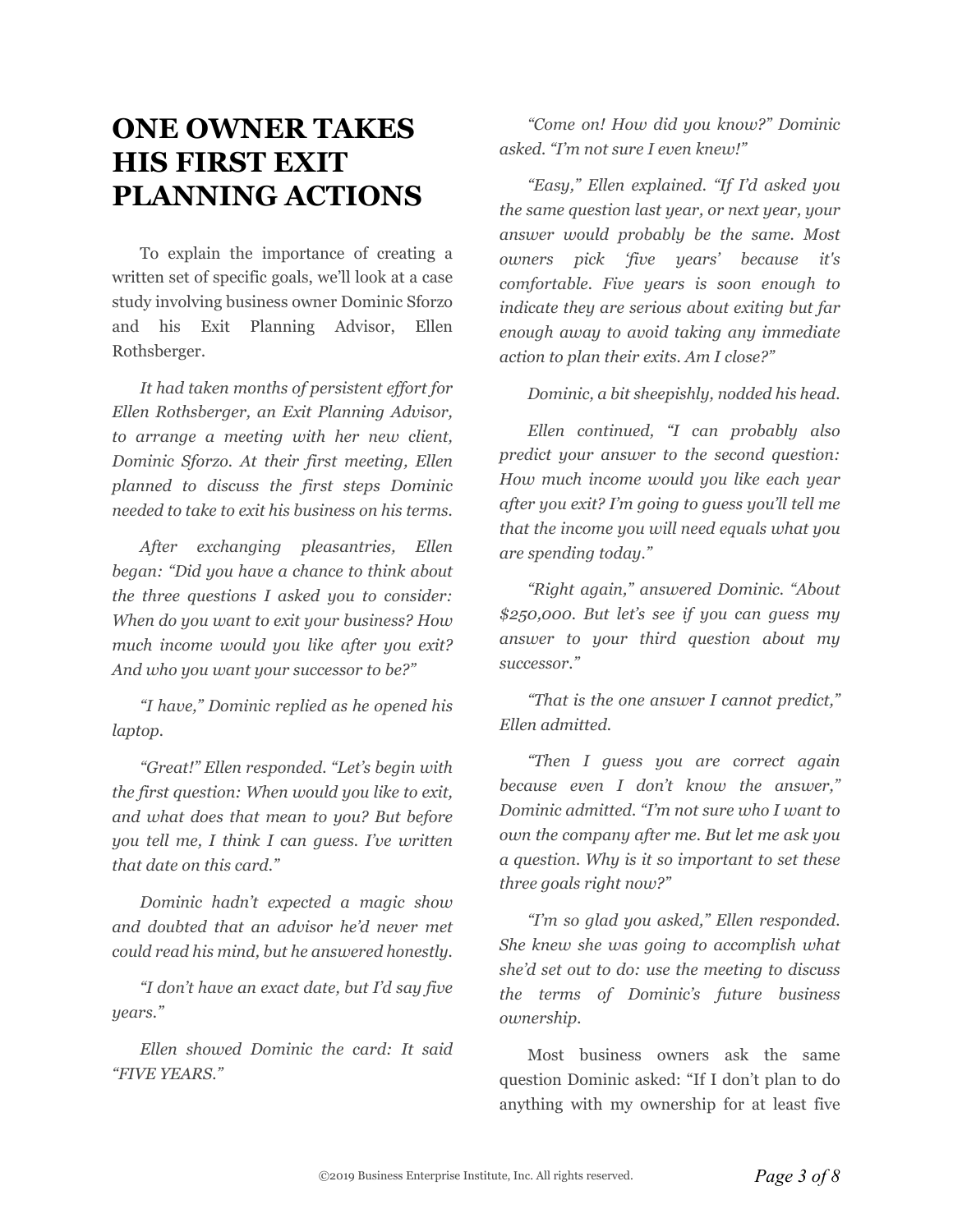#### **ONE OWNER TAKES HIS FIRST EXIT PLANNING ACTIONS**

To explain the importance of creating a written set of specific goals, we'll look at a case study involving business owner Dominic Sforzo and his Exit Planning Advisor, Ellen Rothsberger.

*It had taken months of persistent effort for Ellen Rothsberger, an Exit Planning Advisor, to arrange a meeting with her new client, Dominic Sforzo. At their first meeting, Ellen planned to discuss the first steps Dominic needed to take to exit his business on his terms.*

*After exchanging pleasantries, Ellen began: "Did you have a chance to think about the three questions I asked you to consider: When do you want to exit your business? How much income would you like after you exit? And who you want your successor to be?"*

*"I have," Dominic replied as he opened his laptop.*

*"Great!" Ellen responded. "Let's begin with the first question: When would you like to exit, and what does that mean to you? But before you tell me, I think I can guess. I've written that date on this card."*

*Dominic hadn't expected a magic show and doubted that an advisor he'd never met could read his mind, but he answered honestly.*

*"I don't have an exact date, but I'd say five years."*

*Ellen showed Dominic the card: It said "FIVE YEARS."*

*"Come on! How did you know?" Dominic asked. "I'm not sure I even knew!"*

*"Easy," Ellen explained. "If I'd asked you the same question last year, or next year, your answer would probably be the same. Most owners pick 'five years' because it's comfortable. Five years is soon enough to indicate they are serious about exiting but far enough away to avoid taking any immediate action to plan their exits. Am I close?"*

*Dominic, a bit sheepishly, nodded his head.*

*Ellen continued, "I can probably also predict your answer to the second question: How much income would you like each year after you exit? I'm going to guess you'll tell me that the income you will need equals what you are spending today."*

*"Right again," answered Dominic. "About \$250,000. But let's see if you can guess my answer to your third question about my successor."*

*"That is the one answer I cannot predict," Ellen admitted.*

*"Then I guess you are correct again because even I don't know the answer," Dominic admitted. "I'm not sure who I want to own the company after me. But let me ask you a question. Why is it so important to set these three goals right now?"*

*"I'm so glad you asked," Ellen responded. She knew she was going to accomplish what she'd set out to do: use the meeting to discuss the terms of Dominic's future business ownership.*

Most business owners ask the same question Dominic asked: "If I don't plan to do anything with my ownership for at least five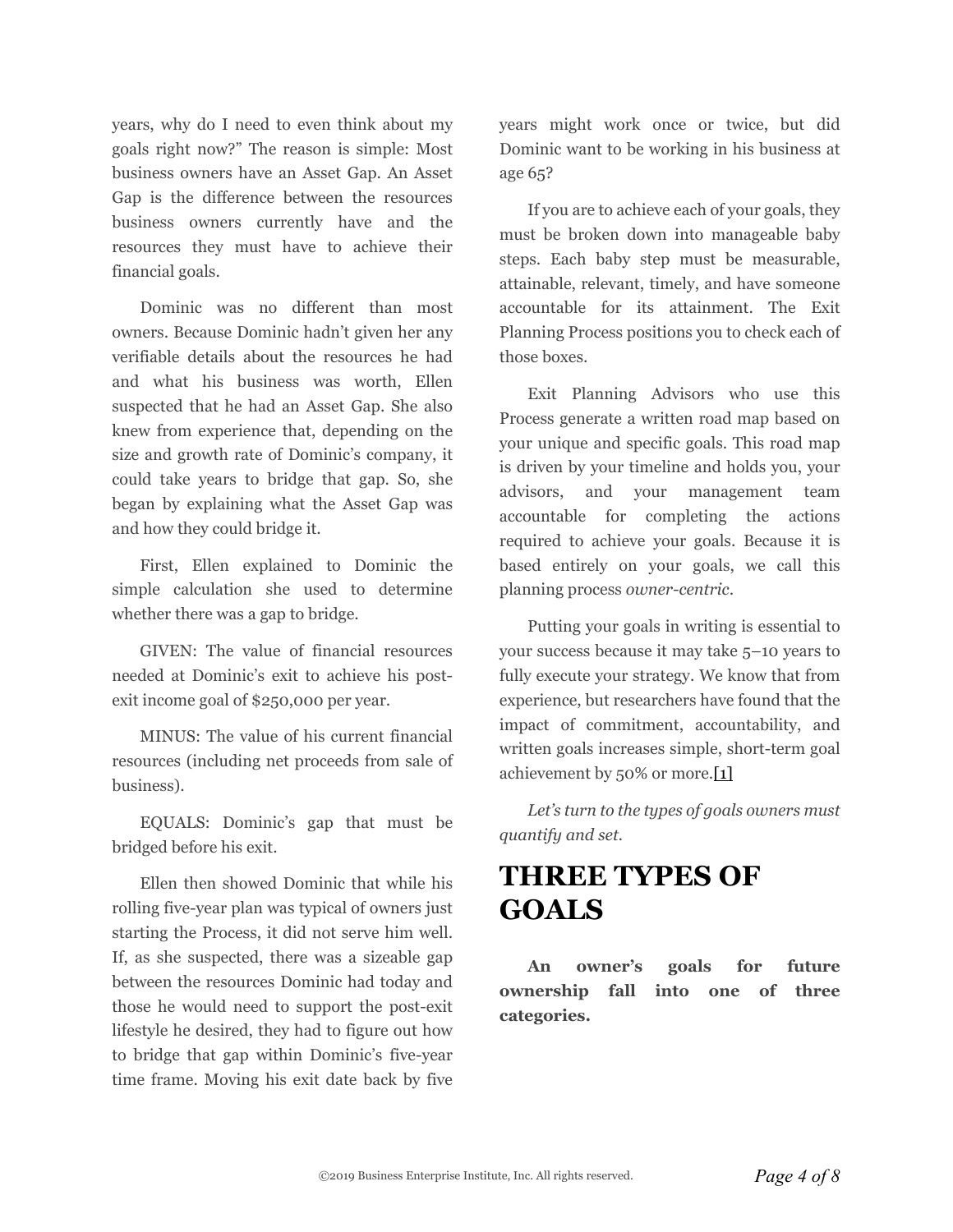years, why do I need to even think about my goals right now?" The reason is simple: Most business owners have an Asset Gap. An Asset Gap is the difference between the resources business owners currently have and the resources they must have to achieve their financial goals.

Dominic was no different than most owners. Because Dominic hadn't given her any verifiable details about the resources he had and what his business was worth, Ellen suspected that he had an Asset Gap. She also knew from experience that, depending on the size and growth rate of Dominic's company, it could take years to bridge that gap. So, she began by explaining what the Asset Gap was and how they could bridge it.

First, Ellen explained to Dominic the simple calculation she used to determine whether there was a gap to bridge.

GIVEN: The value of financial resources needed at Dominic's exit to achieve his postexit income goal of \$250,000 per year.

<span id="page-3-0"></span>MINUS: The value of his current financial resources (including net proceeds from sale of business).

EQUALS: Dominic's gap that must be bridged before his exit.

Ellen then showed Dominic that while his rolling five-year plan was typical of owners just starting the Process, it did not serve him well. If, as she suspected, there was a sizeable gap between the resources Dominic had today and those he would need to support the post-exit lifestyle he desired, they had to figure out how to bridge that gap within Dominic's five-year time frame. Moving his exit date back by five

years might work once or twice, but did Dominic want to be working in his business at age 65?

If you are to achieve each of your goals, they must be broken down into manageable baby steps. Each baby step must be measurable, attainable, relevant, timely, and have someone accountable for its attainment. The Exit Planning Process positions you to check each of those boxes.

Exit Planning Advisors who use this Process generate a written road map based on your unique and specific goals. This road map is driven by your timeline and holds you, your advisors, and your management team accountable for completing the actions required to achieve your goals. Because it is based entirely on your goals, we call this planning process *owner-centric*.

Putting your goals in writing is essential to your success because it may take 5–10 years to fully execute your strategy. We know that from experience, but researchers have found that the impact of commitment, accountability, and written goals increases simple, short-term goal achievement by 50% or more.[\[1\]](#page-7-0)

*Let's turn to the types of goals owners must quantify and set.*

#### **THREE TYPES OF GOALS**

**An owner's goals for future ownership fall into one of three categories.**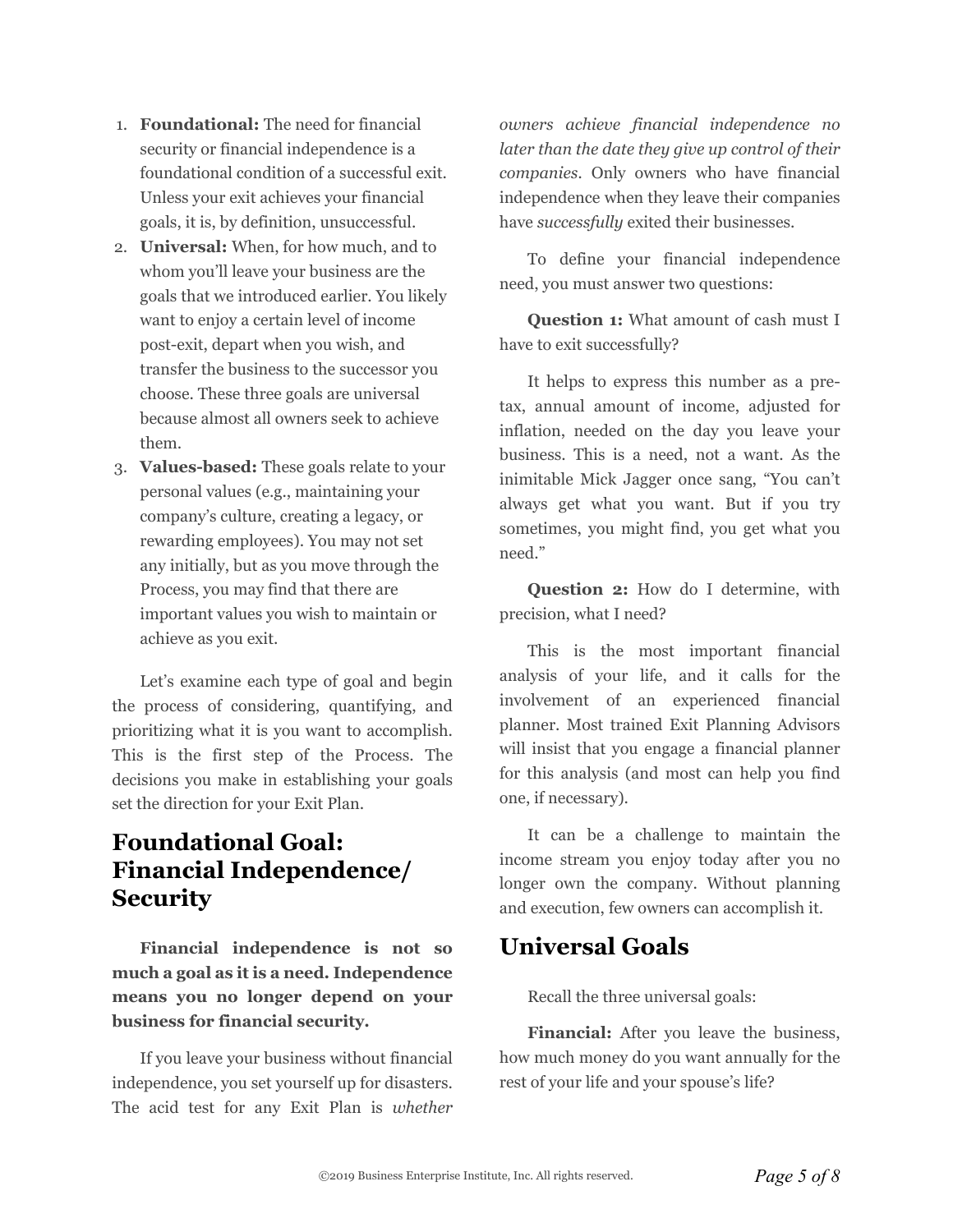- 1. **Foundational:** The need for financial security or financial independence is a foundational condition of a successful exit. Unless your exit achieves your financial goals, it is, by definition, unsuccessful.
- 2. **Universal:** When, for how much, and to whom you'll leave your business are the goals that we introduced earlier. You likely want to enjoy a certain level of income post-exit, depart when you wish, and transfer the business to the successor you choose. These three goals are universal because almost all owners seek to achieve them.
- 3. **Values-based:** These goals relate to your personal values (e.g., maintaining your company's culture, creating a legacy, or rewarding employees). You may not set any initially, but as you move through the Process, you may find that there are important values you wish to maintain or achieve as you exit.

Let's examine each type of goal and begin the process of considering, quantifying, and prioritizing what it is you want to accomplish. This is the first step of the Process. The decisions you make in establishing your goals set the direction for your Exit Plan.

#### **Foundational Goal: Financial Independence/ Security**

**Financial independence is not so much a goal as it is a need. Independence means you no longer depend on your business for financial security.**

If you leave your business without financial independence, you set yourself up for disasters. The acid test for any Exit Plan is *whether*

*owners achieve financial independence no later than the date they give up control of their companies.* Only owners who have financial independence when they leave their companies have *successfully* exited their businesses.

To define your financial independence need, you must answer two questions:

**Question 1:** What amount of cash must I have to exit successfully?

It helps to express this number as a pretax, annual amount of income, adjusted for inflation, needed on the day you leave your business. This is a need, not a want. As the inimitable Mick Jagger once sang, "You can't always get what you want. But if you try sometimes, you might find, you get what you need."

**Question 2:** How do I determine, with precision, what I need?

This is the most important financial analysis of your life, and it calls for the involvement of an experienced financial planner. Most trained Exit Planning Advisors will insist that you engage a financial planner for this analysis (and most can help you find one, if necessary).

It can be a challenge to maintain the income stream you enjoy today after you no longer own the company. Without planning and execution, few owners can accomplish it.

#### **Universal Goals**

Recall the three universal goals:

**Financial:** After you leave the business, how much money do you want annually for the rest of your life and your spouse's life?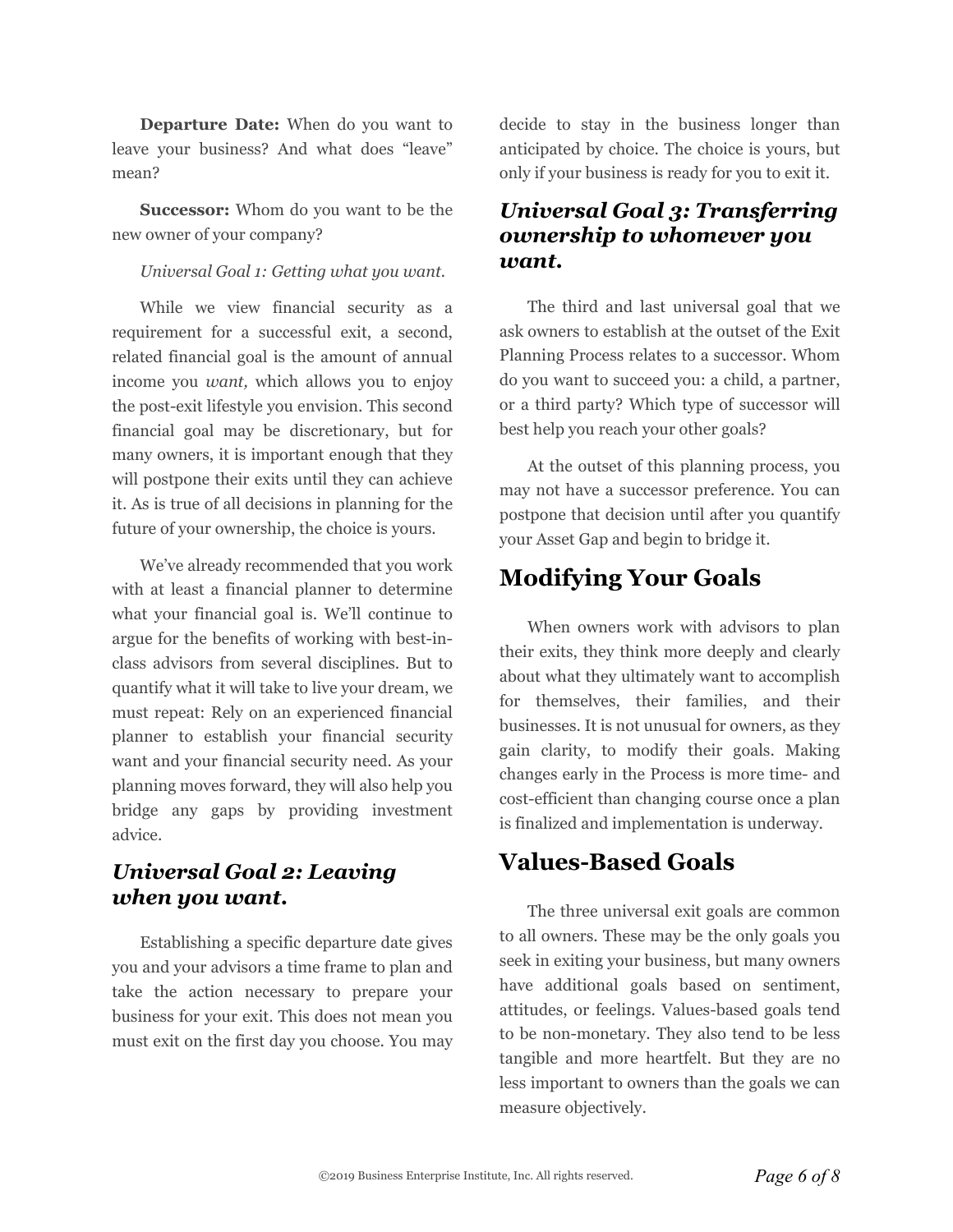**Departure Date:** When do you want to leave your business? And what does "leave" mean?

**Successor:** Whom do you want to be the new owner of your company?

*Universal Goal 1: Getting what you want.*

While we view financial security as a requirement for a successful exit, a second, related financial goal is the amount of annual income you *want,* which allows you to enjoy the post-exit lifestyle you envision. This second financial goal may be discretionary, but for many owners, it is important enough that they will postpone their exits until they can achieve it. As is true of all decisions in planning for the future of your ownership, the choice is yours.

We've already recommended that you work with at least a financial planner to determine what your financial goal is. We'll continue to argue for the benefits of working with best-inclass advisors from several disciplines. But to quantify what it will take to live your dream, we must repeat: Rely on an experienced financial planner to establish your financial security want and your financial security need. As your planning moves forward, they will also help you bridge any gaps by providing investment advice.

#### *Universal Goal 2: Leaving when you want.*

Establishing a specific departure date gives you and your advisors a time frame to plan and take the action necessary to prepare your business for your exit. This does not mean you must exit on the first day you choose. You may decide to stay in the business longer than anticipated by choice. The choice is yours, but only if your business is ready for you to exit it.

#### *Universal Goal 3: Transferring ownership to whomever you want.*

The third and last universal goal that we ask owners to establish at the outset of the Exit Planning Process relates to a successor. Whom do you want to succeed you: a child, a partner, or a third party? Which type of successor will best help you reach your other goals?

At the outset of this planning process, you may not have a successor preference. You can postpone that decision until after you quantify your Asset Gap and begin to bridge it.

#### **Modifying Your Goals**

When owners work with advisors to plan their exits, they think more deeply and clearly about what they ultimately want to accomplish for themselves, their families, and their businesses. It is not unusual for owners, as they gain clarity, to modify their goals. Making changes early in the Process is more time- and cost-efficient than changing course once a plan is finalized and implementation is underway.

#### **Values-Based Goals**

The three universal exit goals are common to all owners. These may be the only goals you seek in exiting your business, but many owners have additional goals based on sentiment, attitudes, or feelings. Values-based goals tend to be non-monetary. They also tend to be less tangible and more heartfelt. But they are no less important to owners than the goals we can measure objectively.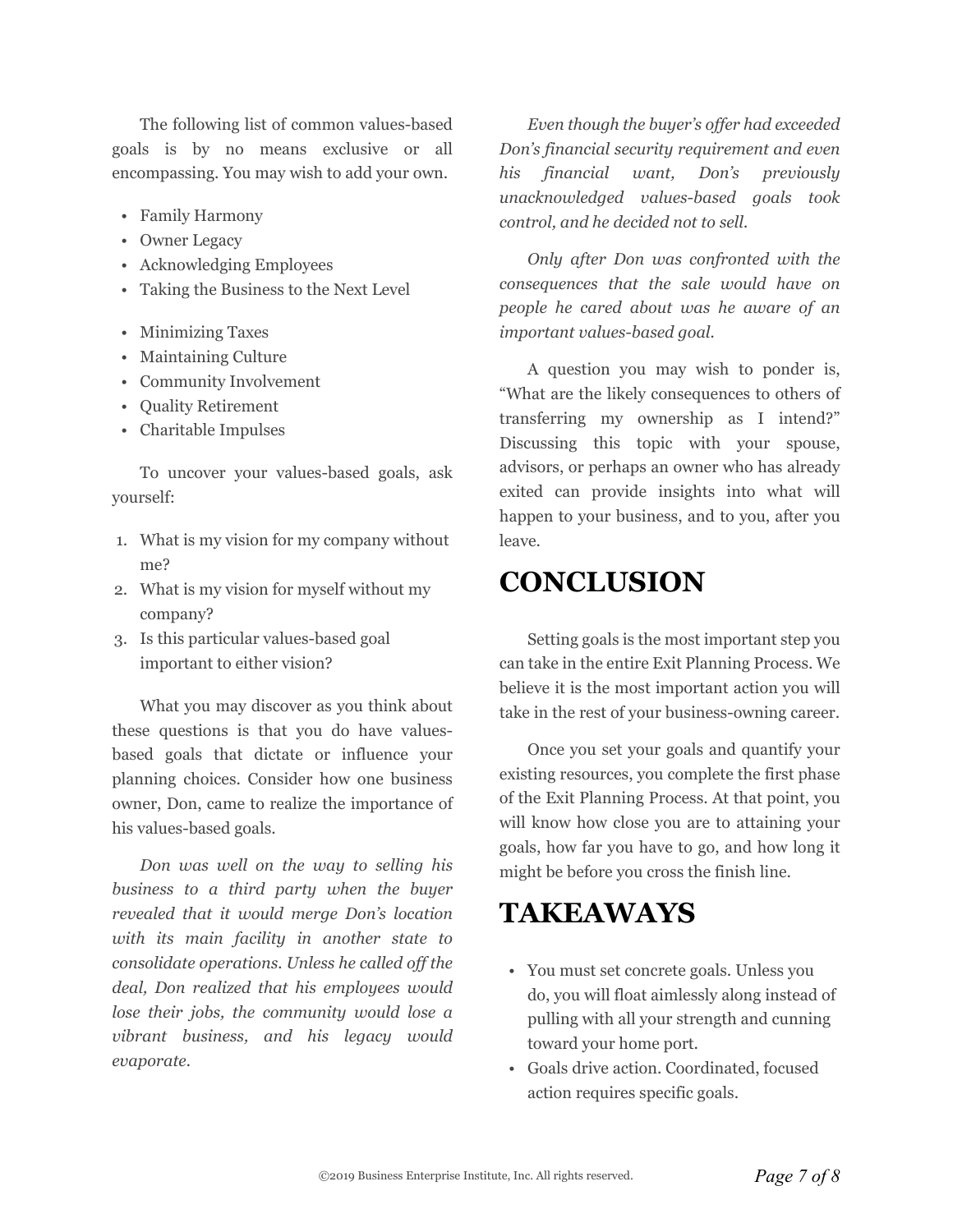The following list of common values-based goals is by no means exclusive or all encompassing. You may wish to add your own.

- Family Harmony
- Owner Legacy
- Acknowledging Employees
- Taking the Business to the Next Level
- Minimizing Taxes
- Maintaining Culture
- Community Involvement
- Quality Retirement
- Charitable Impulses

To uncover your values-based goals, ask yourself:

- 1. What is my vision for my company without me?
- 2. What is my vision for myself without my company?
- 3. Is this particular values-based goal important to either vision?

What you may discover as you think about these questions is that you do have valuesbased goals that dictate or influence your planning choices. Consider how one business owner, Don, came to realize the importance of his values-based goals.

*Don was well on the way to selling his business to a third party when the buyer revealed that it would merge Don's location with its main facility in another state to consolidate operations. Unless he called off the deal, Don realized that his employees would lose their jobs, the community would lose a vibrant business, and his legacy would evaporate.*

*Even though the buyer's offer had exceeded Don's financial security requirement and even his financial want, Don's previously unacknowledged values-based goals took control, and he decided not to sell.*

*Only after Don was confronted with the consequences that the sale would have on people he cared about was he aware of an important values-based goal.*

A question you may wish to ponder is, "What are the likely consequences to others of transferring my ownership as I intend?" Discussing this topic with your spouse, advisors, or perhaps an owner who has already exited can provide insights into what will happen to your business, and to you, after you leave.

#### **CONCLUSION**

Setting goals is the most important step you can take in the entire Exit Planning Process. We believe it is the most important action you will take in the rest of your business-owning career.

Once you set your goals and quantify your existing resources, you complete the first phase of the Exit Planning Process. At that point, you will know how close you are to attaining your goals, how far you have to go, and how long it might be before you cross the finish line.

#### **TAKEAWAYS**

- You must set concrete goals. Unless you do, you will float aimlessly along instead of pulling with all your strength and cunning toward your home port.
- Goals drive action. Coordinated, focused action requires specific goals.